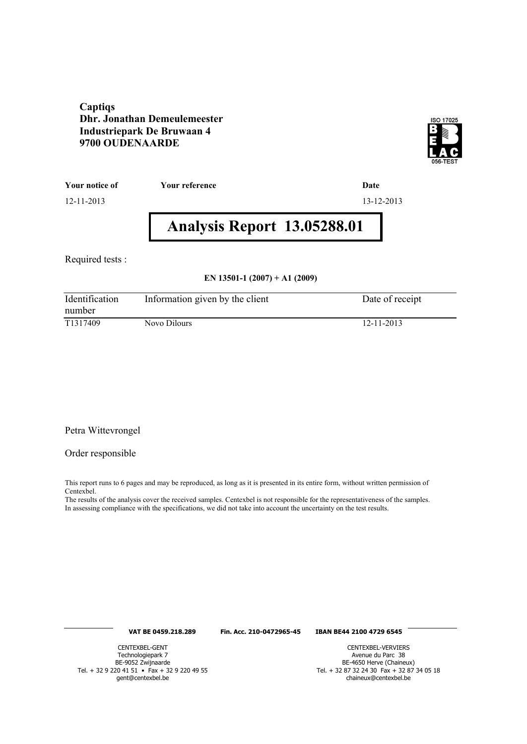#### **Captiqs Dhr. Jonathan Demeulemeester Industriepark De Bruwaan 4 9700 OUDENAARDE**



**Your notice of Your reference Date**

12-11-2013 13-12-2013

# **Analysis Report 13.05288.01**

Required tests :

#### **EN 13501-1 (2007) + A1 (2009)**

| Identification<br>number | Information given by the client | Date of receipt |
|--------------------------|---------------------------------|-----------------|
| T <sub>1317409</sub>     | Novo Dilours                    | 12-11-2013      |

#### Petra Wittevrongel

#### Order responsible

This report runs to 6 pages and may be reproduced, as long as it is presented in its entire form, without written permission of Centexbel.

The results of the analysis cover the received samples. Centexbel is not responsible for the representativeness of the samples. In assessing compliance with the specifications, we did not take into account the uncertainty on the test results.

#### **VAT BE 0459.218.289 Fin. Acc. 210-0472965-45 IBAN BE44 2100 4729 6545**

CENTEXBEL-GENT Technologiepark 7 BE-9052 Zwijnaarde Tel. + 32 9 220 41 51 • Fax + 32 9 220 49 55 gent@centexbel.be

CENTEXBEL-VERVIERS Avenue du Parc 38 BE-4650 Herve (Chaineux) Tel. + 32 87 32 24 30 Fax + 32 87 34 05 18 chaineux@centexbel.be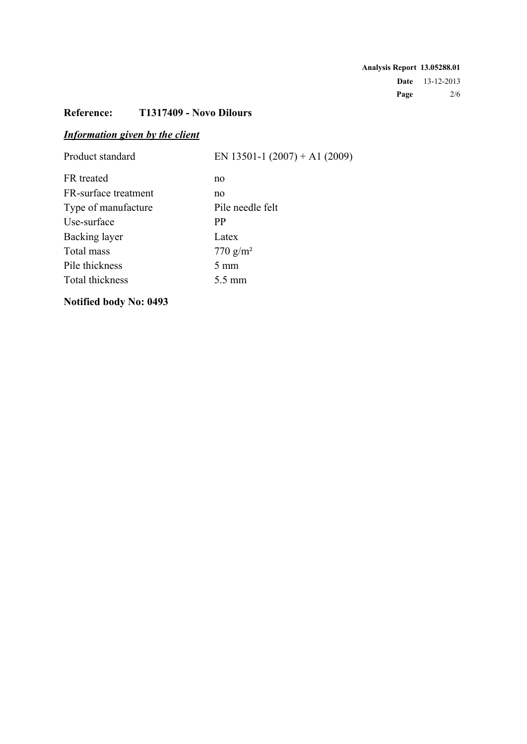## **Reference: T1317409 - Novo Dilours**

# *Information given by the client*

| Product standard     | EN 13501-1 $(2007) + A1 (2009)$ |
|----------------------|---------------------------------|
| FR treated           | no                              |
| FR-surface treatment | no                              |
| Type of manufacture  | Pile needle felt                |
| Use-surface          | PP                              |
| Backing layer        | Latex                           |
| Total mass           | 770 $g/m^2$                     |
| Pile thickness       | $5 \text{ mm}$                  |
| Total thickness      | 5.5 mm                          |
|                      |                                 |

# **Notified body No: 0493**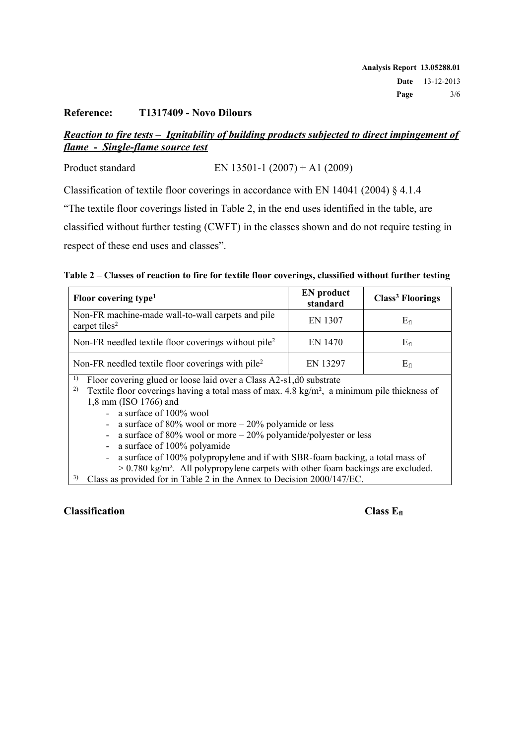#### **Reference: T1317409 - Novo Dilours**

### *Reaction to fire tests – Ignitability of building products subjected to direct impingement of flame - Single-flame source test*

Product standard EN 13501-1 (2007) + A1 (2009)

Classification of textile floor coverings in accordance with EN 14041 (2004) § 4.1.4

"The textile floor coverings listed in Table 2, in the end uses identified in the table, are

classified without further testing (CWFT) in the classes shown and do not require testing in

respect of these end uses and classes".

|  |  | Table 2 – Classes of reaction to fire for textile floor coverings, classified without further testing |  |  |
|--|--|-------------------------------------------------------------------------------------------------------|--|--|
|  |  |                                                                                                       |  |  |

| Floor covering type <sup>1</sup>                                               | <b>EN</b> product<br>standard | <b>Class<sup>3</sup></b> Floorings |
|--------------------------------------------------------------------------------|-------------------------------|------------------------------------|
| Non-FR machine-made wall-to-wall carpets and pile<br>carpet tiles <sup>2</sup> | <b>EN 1307</b>                | Eп                                 |
| Non-FR needled textile floor coverings without pile <sup>2</sup>               | EN 1470                       | Eп                                 |
| Non-FR needled textile floor coverings with pile <sup>2</sup>                  | EN 13297                      | $E_{fl}$                           |

1) Floor covering glued or loose laid over a Class A2-s1,d0 substrate

<sup>2)</sup> Textile floor coverings having a total mass of max.  $4.8 \text{ kg/m}^2$ , a minimum pile thickness of 1,8 mm (ISO 1766) and

- a surface of 100% wool
- a surface of 80% wool or more 20% polyamide or less
- a surface of 80% wool or more 20% polyamide/polyester or less
- a surface of 100% polyamide
- a surface of 100% polypropylene and if with SBR-foam backing, a total mass of
- $> 0.780 \text{ kg/m}^2$ . All polypropylene carpets with other foam backings are excluded.
- Class as provided for in Table 2 in the Annex to Decision 2000/147/EC.

#### **Classification Class Class Class Class Ef**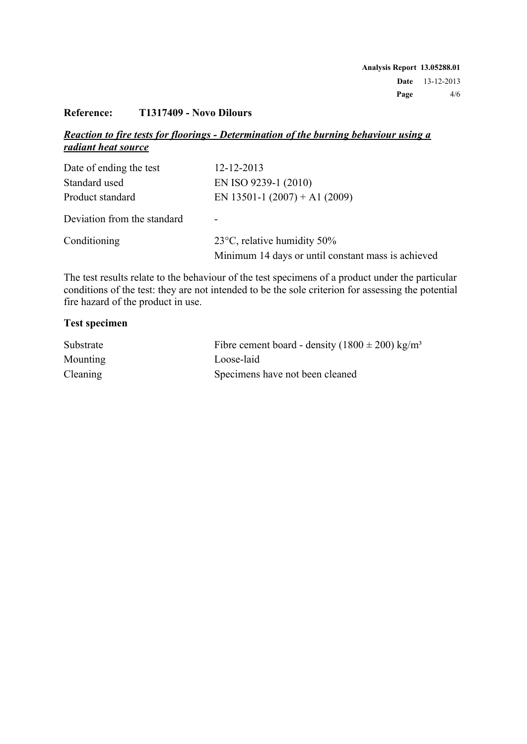### **Reference: T1317409 - Novo Dilours**

### *Reaction to fire tests for floorings - Determination of the burning behaviour using a radiant heat source*

| Date of ending the test     | 12-12-2013                                         |
|-----------------------------|----------------------------------------------------|
| Standard used               | EN ISO 9239-1 (2010)                               |
| Product standard            | EN 13501-1 $(2007) + A1 (2009)$                    |
| Deviation from the standard |                                                    |
| Conditioning                | 23 $\degree$ C, relative humidity 50%              |
|                             | Minimum 14 days or until constant mass is achieved |

The test results relate to the behaviour of the test specimens of a product under the particular conditions of the test: they are not intended to be the sole criterion for assessing the potential fire hazard of the product in use.

#### **Test specimen**

| Substrate       | Fibre cement board - density $(1800 \pm 200)$ kg/m <sup>3</sup> |
|-----------------|-----------------------------------------------------------------|
| <b>Mounting</b> | Loose-laid                                                      |
| Cleaning        | Specimens have not been cleaned                                 |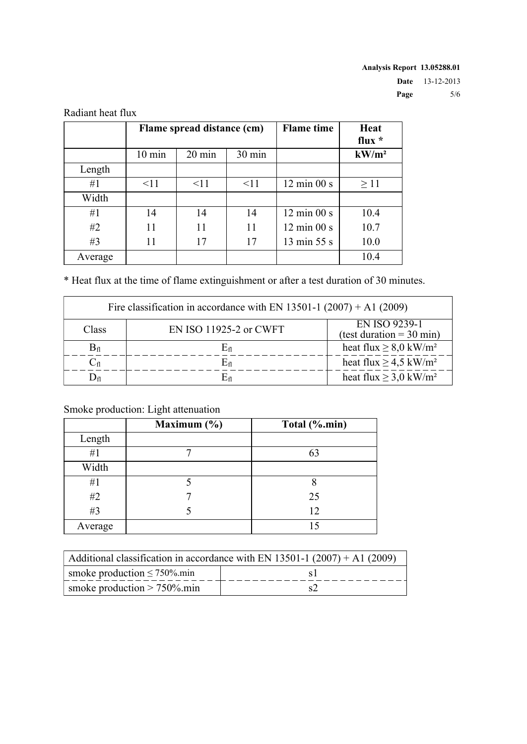|         |                  | Flame spread distance (cm) | <b>Flame</b> time | Heat<br>flux $*$               |          |
|---------|------------------|----------------------------|-------------------|--------------------------------|----------|
|         | $10 \text{ min}$ | 20 min                     | 30 min            |                                | $kW/m^2$ |
| Length  |                  |                            |                   |                                |          |
| #1      | $\leq$ 11        | $\leq$ 11                  | $\leq$ 11         | $12 \text{ min } 00 \text{ s}$ | >11      |
| Width   |                  |                            |                   |                                |          |
| #1      | 14               | 14                         | 14                | $12 \text{ min } 00 \text{ s}$ | 10.4     |
| #2      | 11               | 11                         | 11                | $12 \text{ min } 00 \text{ s}$ | 10.7     |
| #3      | 11               | 17                         | 17                | 13 min 55 s                    | 10.0     |
| Average |                  |                            |                   |                                | 10.4     |

Radiant heat flux

\* Heat flux at the time of flame extinguishment or after a test duration of 30 minutes.

| Fire classification in accordance with EN 13501-1 $(2007) + A1 (2009)$ |                        |                                                      |  |  |
|------------------------------------------------------------------------|------------------------|------------------------------------------------------|--|--|
| Class                                                                  | EN ISO 11925-2 or CWFT | EN ISO 9239-1<br>(test duration = $30 \text{ min}$ ) |  |  |
| $B_{fl}$                                                               | En                     | heat flux $\geq 8.0$ kW/m <sup>2</sup>               |  |  |
| $\mathrm{C}_{\mathrm{fl}}$                                             | Efi                    | heat flux $\geq$ 4,5 kW/m <sup>2</sup>               |  |  |
|                                                                        |                        | heat flux $\geq$ 3,0 kW/m <sup>2</sup>               |  |  |

# Smoke production: Light attenuation

|         | Maximum $(\% )$ | Total (%.min) |
|---------|-----------------|---------------|
| Length  |                 |               |
| #1      |                 | 63            |
| Width   |                 |               |
| #1      |                 |               |
| #2      |                 | 25            |
| #3      |                 | 12            |
| Average |                 |               |

| Additional classification in accordance with EN 13501-1 $(2007) + A1 (2009)$ |  |  |
|------------------------------------------------------------------------------|--|--|
| smoke production $\leq 750\%$ min                                            |  |  |
| smoke production $> 750\%$ min                                               |  |  |